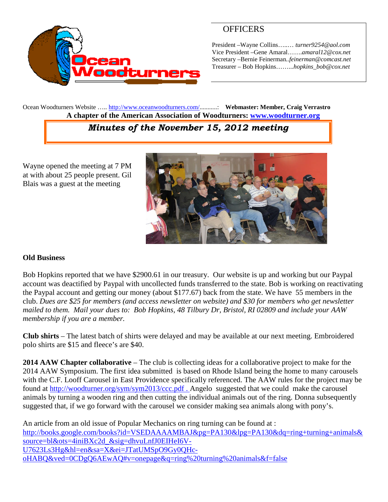

# **OFFICERS**

President –Wayne Collins…..… *turner9254@aol.com* Vice President –Gene Amaral…….*amaral12@cox.net* Secretary –Bernie Feinerman*..feinerman@comcast.net* Treasurer – Bob Hopkins……...*hopkins\_bob@cox.net*

Ocean Woodturners Website ….. <http://www.oceanwoodturners.com/>...........: **Webmaster: Member, Craig Verrastro A chapter of the American Association of Woodturners: [www.woodturner.org](http://www.woodturner.org/)**

# *Minutes of the November 15, 2012 meeting*

Wayne opened the meeting at 7 PM at with about 25 people present. Gil Blais was a guest at the meeting



#### **Old Business**

Bob Hopkins reported that we have \$2900.61 in our treasury. Our website is up and working but our Paypal account was deactified by Paypal with uncollected funds transferred to the state. Bob is working on reactivating the Paypal account and getting our money (about \$177.67) back from the state. We have 55 members in the club. *Dues are \$25 for members (and access newsletter on website) and \$30 for members who get newsletter mailed to them. Mail your dues to: Bob Hopkins, 48 Tilbury Dr, Bristol, RI 02809 and include your AAW membership if you are a member.*

**Club shirts** – The latest batch of shirts were delayed and may be available at our next meeting. Embroidered polo shirts are \$15 and fleece's are \$40.

**2014 AAW Chapter collaborative** – The club is collecting ideas for a collaborative project to make for the 2014 AAW Symposium. The first idea submitted is based on Rhode Island being the home to many carousels with the C.F. Looff Carousel in East Providence specifically referenced. The AAW rules for the project may be found at <http://woodturner.org/sym/sym2013/ccc.pdf> . Angelo suggested that we could make the carousel animals by turning a wooden ring and then cutting the individual animals out of the ring. Donna subsequently suggested that, if we go forward with the carousel we consider making sea animals along with pony's.

An article from an old issue of Popular Mechanics on ring turning can be found at : [http://books.google.com/books?id=VSEDAAAAMBAJ&pg=PA130&lpg=PA130&dq=ring+turning+animals&](http://books.google.com/books?id=VSEDAAAAMBAJ&pg=PA130&lpg=PA130&dq=ring+turning+animals&source=bl&ots=4iniBXc2d_&sig=dhvuLnfJ0EIHeI6V-U7623Ls3Hg&hl=en&sa=X&ei=JTatUMSpO9Gy0QHc-oHABQ&ved=0CDgQ6AEwAQ#v=onepage&q=ring%20turning%20animals&f=false) [source=bl&ots=4iniBXc2d\\_&sig=dhvuLnfJ0EIHeI6V-](http://books.google.com/books?id=VSEDAAAAMBAJ&pg=PA130&lpg=PA130&dq=ring+turning+animals&source=bl&ots=4iniBXc2d_&sig=dhvuLnfJ0EIHeI6V-U7623Ls3Hg&hl=en&sa=X&ei=JTatUMSpO9Gy0QHc-oHABQ&ved=0CDgQ6AEwAQ#v=onepage&q=ring%20turning%20animals&f=false)[U7623Ls3Hg&hl=en&sa=X&ei=JTatUMSpO9Gy0QHc](http://books.google.com/books?id=VSEDAAAAMBAJ&pg=PA130&lpg=PA130&dq=ring+turning+animals&source=bl&ots=4iniBXc2d_&sig=dhvuLnfJ0EIHeI6V-U7623Ls3Hg&hl=en&sa=X&ei=JTatUMSpO9Gy0QHc-oHABQ&ved=0CDgQ6AEwAQ#v=onepage&q=ring%20turning%20animals&f=false)[oHABQ&ved=0CDgQ6AEwAQ#v=onepage&q=ring%20turning%20animals&f=false](http://books.google.com/books?id=VSEDAAAAMBAJ&pg=PA130&lpg=PA130&dq=ring+turning+animals&source=bl&ots=4iniBXc2d_&sig=dhvuLnfJ0EIHeI6V-U7623Ls3Hg&hl=en&sa=X&ei=JTatUMSpO9Gy0QHc-oHABQ&ved=0CDgQ6AEwAQ#v=onepage&q=ring%20turning%20animals&f=false)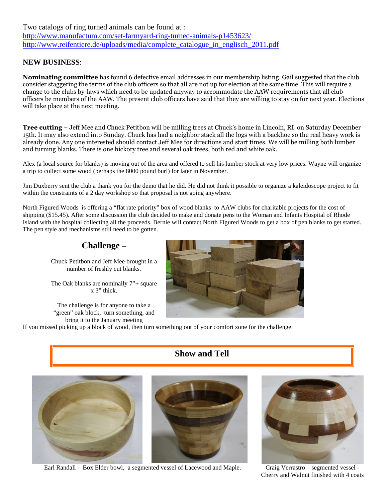Two catalogs of ring turned animals can be found at : <http://www.manufactum.com/set-farmyard-ring-turned-animals-p1453623/> [http://www.reifentiere.de/uploads/media/complete\\_catalogue\\_in\\_englisch\\_2011.pdf](http://www.reifentiere.de/uploads/media/complete_catalogue_in_englisch_2011.pdf)

#### **NEW BUSINESS**:

**Nominating committee** has found 6 defective email addresses in our membership listing. Gail suggested that the club consider staggering the terms of the club officers so that all are not up for election at the same time. This will require a change to the clubs by-laws which need to be updated anyway to accommodate the AAW requirements that all club officers be members of the AAW. The present club officers have said that they are willing to stay on for next year. Elections will take place at the next meeting.

**Tree cutting** – Jeff Mee and Chuck Petitbon will be milling trees at Chuck's home in Lincoln, RI on Saturday December 15th. It may also extend into Sunday. Chuck has had a neighbor stack all the logs with a backhoe so the real heavy work is already done. Any one interested should contact Jeff Mee for directions and start times. We will be milling both lumber and turning blanks. There is one hickory tree and several oak trees, both red and white oak.

Alex (a local source for blanks) is moving out of the area and offered to sell his lumber stock at very low prices. Wayne will organize a trip to collect some wood (perhaps the 8000 pound burl) for later in November.

Jim Duxberry sent the club a thank you for the demo that he did. He did not think it possible to organize a kaleidoscope project to fit within the constraints of a 2 day workshop so that proposal is not going anywhere.

North Figured Woods is offering a "flat rate priority" box of wood blanks to AAW clubs for charitable projects for the cost of shipping (\$15.45). After some discussion the club decided to make and donate pens to the Woman and Infants Hospital of Rhode Island with the hospital collecting all the proceeds. Bernie will contact North Figured Woods to get a box of pen blanks to get started. The pen style and mechanisms still need to be gotten.

### **Challenge –**

Chuck Petitbon and Jeff Mee brought in a number of freshly cut blanks.

The Oak blanks are nominally 7"+ square x 3" thick.

The challenge is for anyone to take a "green" oak block, turn something, and bring it to the January meeting



If you missed picking up a block of wood, then turn something out of your comfort zone for the challenge.

#### **Show and Tell**





Earl Randall - Box Elder bowl, a segmented vessel of Lacewood and Maple. Craig Verrastro – segmented vessel -



Cherry and Walnut finished with 4 coats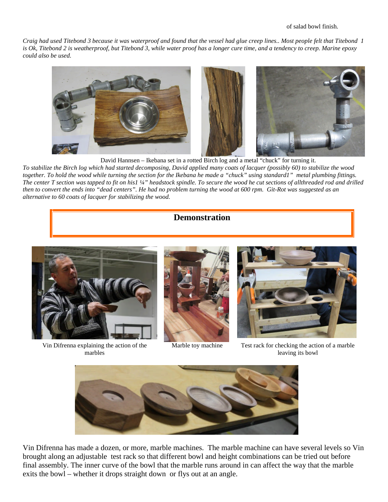*Craig had used Titebond 3 because it was waterproof and found that the vessel had glue creep lines.. Most people felt that Titebond 1 is Ok, Titebond 2 is weatherproof, but Titebond 3, while water proof has a longer cure time, and a tendency to creep. Marine epoxy could also be used.*



David Hannsen – Ikebana set in a rotted Birch log and a metal "chuck" for turning it. *To stabilize the Birch log which had started decomposing, David applied many coats of lacquer (possibly 60) to stabilize the wood together. To hold the wood while turning the section for the Ikebana he made a "chuck" using standard1" metal plumbing fittings. The center T section was tapped to fit on his1 ¼" headstock spindle. To secure the wood he cut sections of allthreaded rod and drilled then to convert the ends into "dead centers". He had no problem turning the wood at 600 rpm. Git-Rot was suggested as an alternative to 60 coats of lacquer for stabilizing the wood.*

#### **Demonstration**



Vin Difrenna explaining the action of the marbles





Marble toy machine Test rack for checking the action of a marble leaving its bowl



Vin Difrenna has made a dozen, or more, marble machines. The marble machine can have several levels so Vin brought along an adjustable test rack so that different bowl and height combinations can be tried out before final assembly. The inner curve of the bowl that the marble runs around in can affect the way that the marble exits the bowl – whether it drops straight down or flys out at an angle.